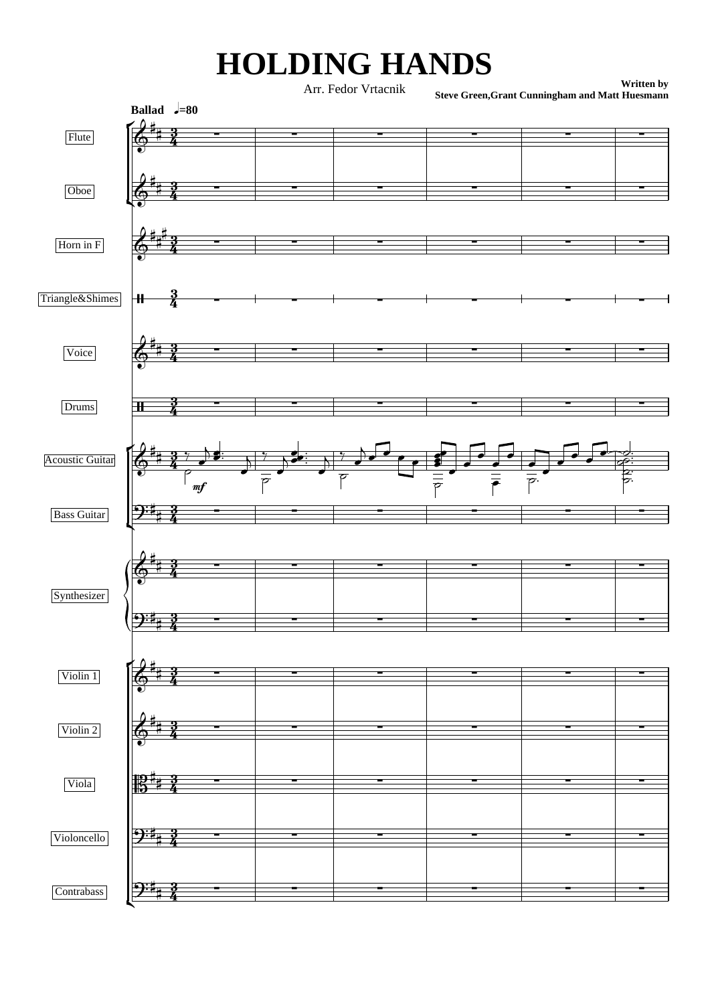## **HOLDING HANDS**

**Written by** Arr. Fedor Vrtacnik<br>Steve Green,Grant Cunningham and Matt Huesmann

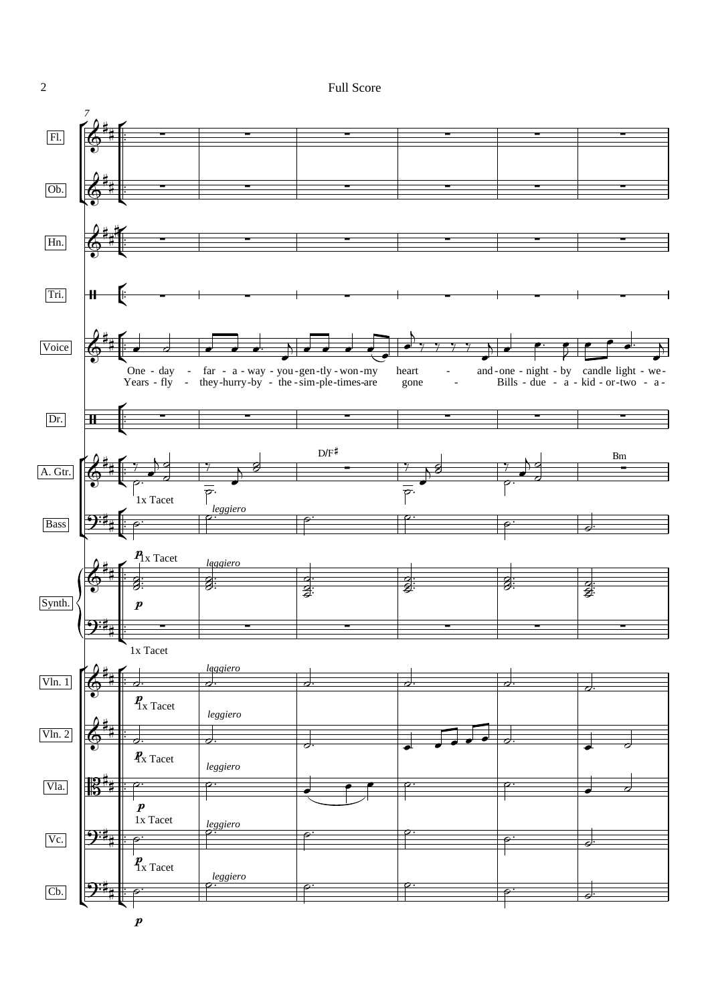**Full Score** 



 $\overline{2}$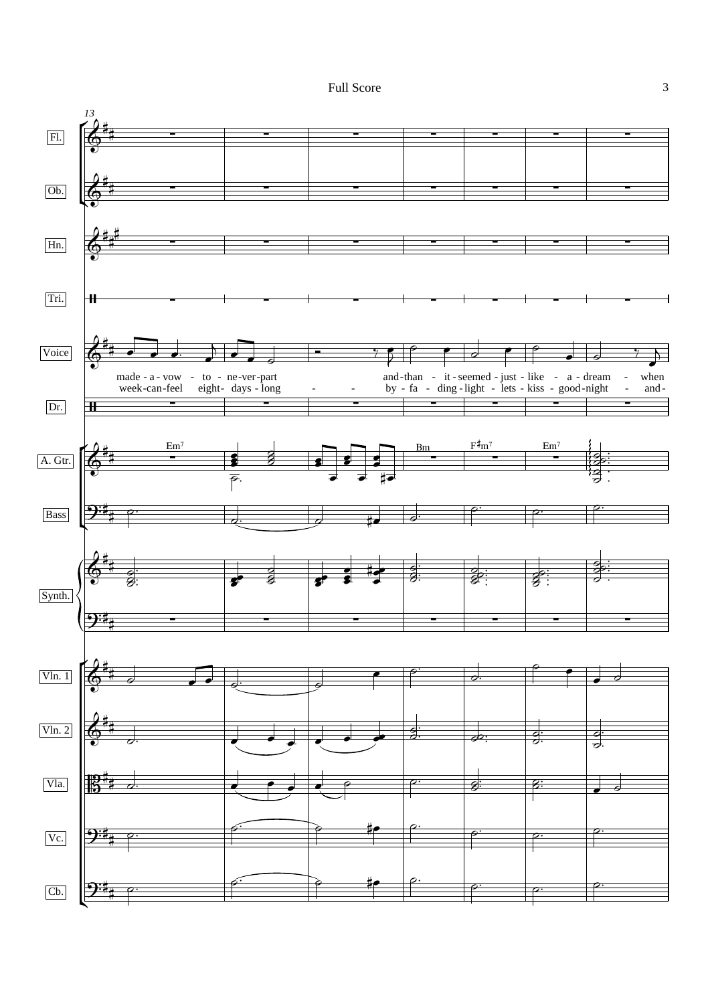Full Score 3